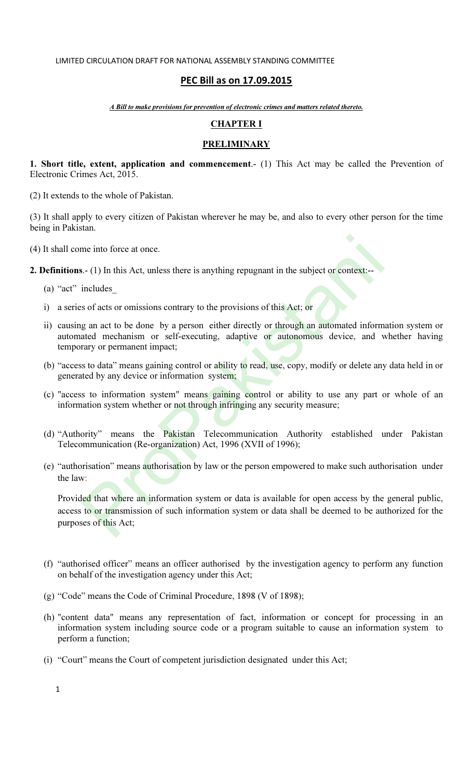# PEC Bill as on 17.09.2015

A Bill to make provisions for prevention of electronic crimes and matters related thereto.

# CHAPTER I

## **PRELIMINARY**

1. Short title, extent, application and commencement.- (1) This Act may be called the Prevention of Electronic Crimes Act, 2015.

(2) It extends to the whole of Pakistan.

(3) It shall apply to every citizen of Pakistan wherever he may be, and also to every other person for the time being in Pakistan.

(4) It shall come into force at once.

2. Definitions.- (1) In this Act, unless there is anything repugnant in the subject or context:--

- (a) "act" includes\_
- i) a series of acts or omissions contrary to the provisions of this Act; or
- ii) causing an act to be done by a person either directly or through an automated information system or automated mechanism or self-executing, adaptive or autonomous device, and whether having temporary or permanent impact;
- (b) "access to data" means gaining control or ability to read, use, copy, modify or delete any data held in or generated by any device or information system;
- (c) "access to information system" means gaining control or ability to use any part or whole of an information system whether or not through infringing any security measure;
- (d) "Authority" means the Pakistan Telecommunication Authority established under Pakistan Telecommunication (Re-organization) Act, 1996 (XVII of 1996);
- (e) "authorisation" means authorisation by law or the person empowered to make such authorisation under the law:

Provided that where an information system or data is available for open access by the general public, access to or transmission of such information system or data shall be deemed to be authorized for the purposes of this Act; The into force at once.<br>
I.-(1) In this Act, unless there is anything repugnant in the subject or context:---<br>
includes\_<br>
sof acts or omissions contrary to the provisions of this Act; or<br>
g an act to be done by a person ei

- (f) "authorised officer" means an officer authorised by the investigation agency to perform any function on behalf of the investigation agency under this Act;
- (g) "Code" means the Code of Criminal Procedure, 1898 (V of 1898);
- (h) "content data" means any representation of fact, information or concept for processing in an information system including source code or a program suitable to cause an information system to perform a function;
- (i) "Court" means the Court of competent jurisdiction designated under this Act;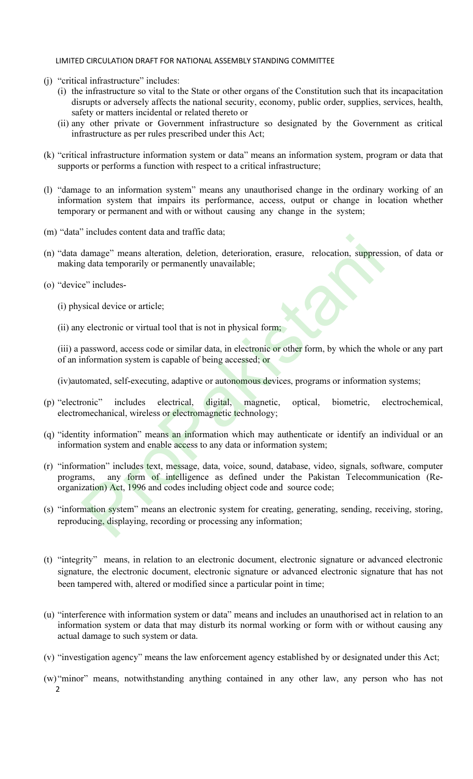- (j) "critical infrastructure" includes:
	- (i) the infrastructure so vital to the State or other organs of the Constitution such that its incapacitation disrupts or adversely affects the national security, economy, public order, supplies, services, health, safety or matters incidental or related thereto or
	- (ii) any other private or Government infrastructure so designated by the Government as critical infrastructure as per rules prescribed under this Act;
- (k) "critical infrastructure information system or data" means an information system, program or data that supports or performs a function with respect to a critical infrastructure;
- (l) "damage to an information system" means any unauthorised change in the ordinary working of an information system that impairs its performance, access, output or change in location whether temporary or permanent and with or without causing any change in the system;
- (m) "data" includes content data and traffic data;
- (n) "data damage" means alteration, deletion, deterioration, erasure, relocation, suppression, of data or making data temporarily or permanently unavailable;
- (o) "device" includes-
	- (i) physical device or article;
	- (ii) any electronic or virtual tool that is not in physical form;

(iii) a password, access code or similar data, in electronic or other form, by which the whole or any part of an information system is capable of being accessed; or

(iv)automated, self-executing, adaptive or autonomous devices, programs or information systems;

- (p) "electronic" includes electrical, digital, magnetic, optical, biometric, electrochemical, electromechanical, wireless or electromagnetic technology;
- (q) "identity information" means an information which may authenticate or identify an individual or an information system and enable access to any data or information system;
- (r) "information" includes text, message, data, voice, sound, database, video, signals, software, computer programs, any form of intelligence as defined under the Pakistan Telecommunication (Reorganization) Act, 1996 and codes including object code and source code; mended comen data and darin data,<br>damage" means alteration, deletion, deterioration, erasure, relocation, suppress<br>g data temporarily or permanently unavailable;<br>c" includes-<br>sical device or article;<br>y electronic or virtua
- (s) "information system" means an electronic system for creating, generating, sending, receiving, storing, reproducing, displaying, recording or processing any information;
- (t) "integrity" means, in relation to an electronic document, electronic signature or advanced electronic signature, the electronic document, electronic signature or advanced electronic signature that has not been tampered with, altered or modified since a particular point in time;
- (u) "interference with information system or data" means and includes an unauthorised act in relation to an information system or data that may disturb its normal working or form with or without causing any actual damage to such system or data.
- (v) "investigation agency" means the law enforcement agency established by or designated under this Act;
- 2 (w) "minor" means, notwithstanding anything contained in any other law, any person who has not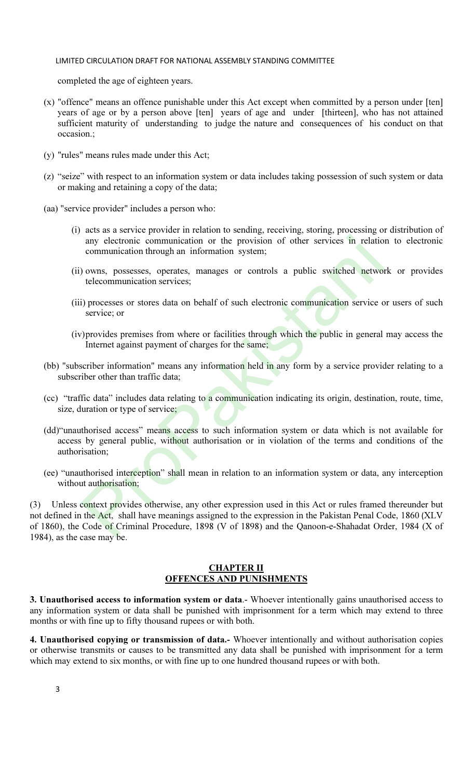completed the age of eighteen years.

- (x) "offence" means an offence punishable under this Act except when committed by a person under [ten] years of age or by a person above [ten] years of age and under [thirteen], who has not attained sufficient maturity of understanding to judge the nature and consequences of his conduct on that occasion.;
- (y) "rules" means rules made under this Act;
- (z) "seize" with respect to an information system or data includes taking possession of such system or data or making and retaining a copy of the data;
- (aa) "service provider" includes a person who:
	- (i) acts as a service provider in relation to sending, receiving, storing, processing or distribution of any electronic communication or the provision of other services in relation to electronic communication through an information system;
	- (ii) owns, possesses, operates, manages or controls a public switched network or provides telecommunication services;
	- (iii) processes or stores data on behalf of such electronic communication service or users of such service; or
	- (iv)provides premises from where or facilities through which the public in general may access the Internet against payment of charges for the same;
- (bb) "subscriber information" means any information held in any form by a service provider relating to a subscriber other than traffic data;
- (cc) "traffic data" includes data relating to a communication indicating its origin, destination, route, time, size, duration or type of service;
- (dd)"unauthorised access" means access to such information system or data which is not available for access by general public, without authorisation or in violation of the terms and conditions of the authorisation;
- (ee) "unauthorised interception" shall mean in relation to an information system or data, any interception without authorisation;

(3) Unless context provides otherwise, any other expression used in this Act or rules framed thereunder but not defined in the Act, shall have meanings assigned to the expression in the Pakistan Penal Code, 1860 (XLV of 1860), the Code of Criminal Procedure, 1898 (V of 1898) and the Qanoon-e-Shahadat Order, 1984 (X of 1984), as the case may be. any electronic communication or the provision of other services in relatio<br>communication through an information system;<br>(a) owns, possesses, operates, manages or controls a public switched networ<br>telecommunication services

## **CHAPTER II** OFFENCES AND PUNISHMENTS

3. Unauthorised access to information system or data.- Whoever intentionally gains unauthorised access to any information system or data shall be punished with imprisonment for a term which may extend to three months or with fine up to fifty thousand rupees or with both.

4. Unauthorised copying or transmission of data.- Whoever intentionally and without authorisation copies or otherwise transmits or causes to be transmitted any data shall be punished with imprisonment for a term which may extend to six months, or with fine up to one hundred thousand rupees or with both.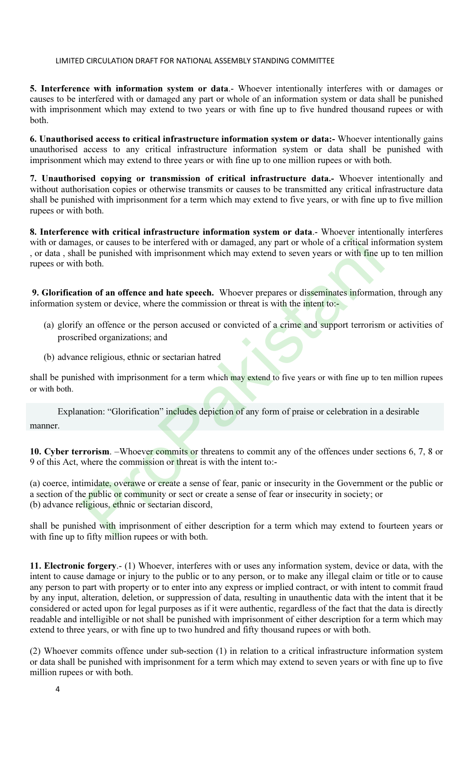5. Interference with information system or data.- Whoever intentionally interferes with or damages or causes to be interfered with or damaged any part or whole of an information system or data shall be punished with imprisonment which may extend to two years or with fine up to five hundred thousand rupees or with both.

6. Unauthorised access to critical infrastructure information system or data:- Whoever intentionally gains unauthorised access to any critical infrastructure information system or data shall be punished with imprisonment which may extend to three years or with fine up to one million rupees or with both.

7. Unauthorised copying or transmission of critical infrastructure data.- Whoever intentionally and without authorisation copies or otherwise transmits or causes to be transmitted any critical infrastructure data shall be punished with imprisonment for a term which may extend to five years, or with fine up to five million rupees or with both.

8. Interference with critical infrastructure information system or data.- Whoever intentionally interferes with or damages, or causes to be interfered with or damaged, any part or whole of a critical information system , or data, shall be punished with imprisonment which may extend to seven years or with fine up to ten million rupees or with both. From Content and the matter and the matter and the of a critical info<br>
eigns, or causes to be interfered with or damaged, any part or whole of a critical info<br>
il be punished with imprisonment which may extend to seven yea

9. Glorification of an offence and hate speech. Whoever prepares or disseminates information, through any information system or device, where the commission or threat is with the intent to:-

- (a) glorify an offence or the person accused or convicted of a crime and support terrorism or activities of proscribed organizations; and
- (b) advance religious, ethnic or sectarian hatred

shall be punished with imprisonment for a term which may extend to five years or with fine up to ten million rupees or with both.

Explanation: "Glorification" includes depiction of any form of praise or celebration in a desirable manner.

10. Cyber terrorism. –Whoever commits or threatens to commit any of the offences under sections 6, 7, 8 or 9 of this Act, where the commission or threat is with the intent to:-

(a) coerce, intimidate, overawe or create a sense of fear, panic or insecurity in the Government or the public or a section of the public or community or sect or create a sense of fear or insecurity in society; or (b) advance religious, ethnic or sectarian discord,

shall be punished with imprisonment of either description for a term which may extend to fourteen years or with fine up to fifty million rupees or with both.

11. Electronic forgery.- (1) Whoever, interferes with or uses any information system, device or data, with the intent to cause damage or injury to the public or to any person, or to make any illegal claim or title or to cause any person to part with property or to enter into any express or implied contract, or with intent to commit fraud by any input, alteration, deletion, or suppression of data, resulting in unauthentic data with the intent that it be considered or acted upon for legal purposes as if it were authentic, regardless of the fact that the data is directly readable and intelligible or not shall be punished with imprisonment of either description for a term which may extend to three years, or with fine up to two hundred and fifty thousand rupees or with both.

(2) Whoever commits offence under sub-section (1) in relation to a critical infrastructure information system or data shall be punished with imprisonment for a term which may extend to seven years or with fine up to five million rupees or with both.

4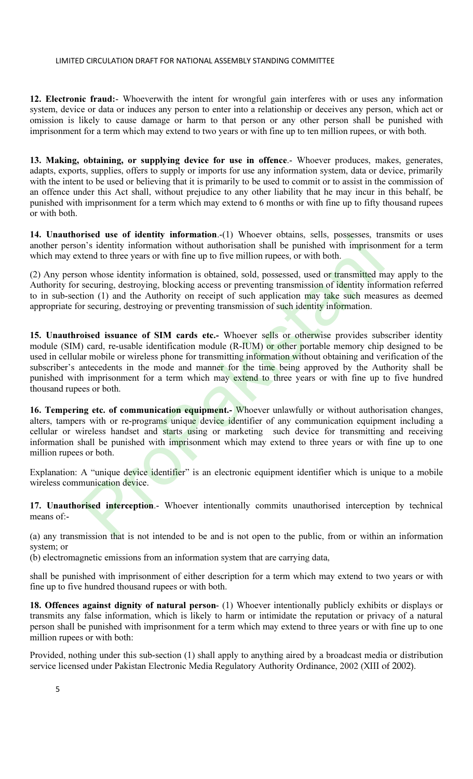12. Electronic fraud:- Whoeverwith the intent for wrongful gain interferes with or uses any information system, device or data or induces any person to enter into a relationship or deceives any person, which act or omission is likely to cause damage or harm to that person or any other person shall be punished with imprisonment for a term which may extend to two years or with fine up to ten million rupees, or with both.

13. Making, obtaining, or supplying device for use in offence.- Whoever produces, makes, generates, adapts, exports, supplies, offers to supply or imports for use any information system, data or device, primarily with the intent to be used or believing that it is primarily to be used to commit or to assist in the commission of an offence under this Act shall, without prejudice to any other liability that he may incur in this behalf, be punished with imprisonment for a term which may extend to 6 months or with fine up to fifty thousand rupees or with both.

14. Unauthorised use of identity information.-(1) Whoever obtains, sells, possesses, transmits or uses another person's identity information without authorisation shall be punished with imprisonment for a term which may extend to three years or with fine up to five million rupees, or with both.

(2) Any person whose identity information is obtained, sold, possessed, used or transmitted may apply to the Authority for securing, destroying, blocking access or preventing transmission of identity information referred to in sub-section (1) and the Authority on receipt of such application may take such measures as deemed appropriate for securing, destroying or preventing transmission of such identity information.

15. Unauthroised issuance of SIM cards etc.- Whoever sells or otherwise provides subscriber identity module (SIM) card, re-usable identification module (R-IUM) or other portable memory chip designed to be used in cellular mobile or wireless phone for transmitting information without obtaining and verification of the subscriber's antecedents in the mode and manner for the time being approved by the Authority shall be punished with imprisonment for a term which may extend to three years or with fine up to five hundred thousand rupees or both. **EXEGN USE THE STATE STATE AND SURFACE STATES AND SURFACE OF SURFACE AND AN IN STREMENT STATES AND IN STATE INTEGRAL STATES IN THE SECTION IN THE SECTION IN THE SECTION IN THE SECTION IN THE SECTION SECTION IN THE SECTION** 

16. Tempering etc. of communication equipment.- Whoever unlawfully or without authorisation changes, alters, tampers with or re-programs unique device identifier of any communication equipment including a cellular or wireless handset and starts using or marketing such device for transmitting and receiving information shall be punished with imprisonment which may extend to three years or with fine up to one million rupees or both.

Explanation: A "unique device identifier" is an electronic equipment identifier which is unique to a mobile wireless communication device.

17. Unauthorised interception.- Whoever intentionally commits unauthorised interception by technical means of:-

(a) any transmission that is not intended to be and is not open to the public, from or within an information system; or

(b) electromagnetic emissions from an information system that are carrying data,

shall be punished with imprisonment of either description for a term which may extend to two years or with fine up to five hundred thousand rupees or with both.

18. Offences against dignity of natural person- (1) Whoever intentionally publicly exhibits or displays or transmits any false information, which is likely to harm or intimidate the reputation or privacy of a natural person shall be punished with imprisonment for a term which may extend to three years or with fine up to one million rupees or with both:

Provided, nothing under this sub-section (1) shall apply to anything aired by a broadcast media or distribution service licensed under Pakistan Electronic Media Regulatory Authority Ordinance, 2002 (XIII of 2002).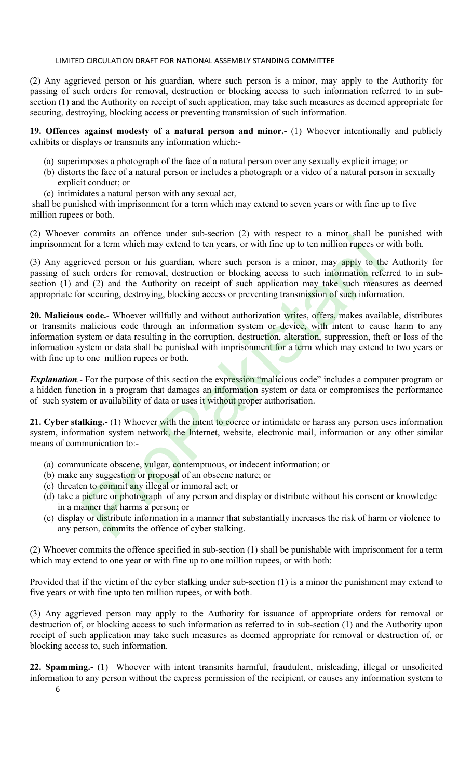(2) Any aggrieved person or his guardian, where such person is a minor, may apply to the Authority for passing of such orders for removal, destruction or blocking access to such information referred to in subsection (1) and the Authority on receipt of such application, may take such measures as deemed appropriate for securing, destroying, blocking access or preventing transmission of such information.

## 19. Offences against modesty of a natural person and minor.- (1) Whoever intentionally and publicly exhibits or displays or transmits any information which:-

- (a) superimposes a photograph of the face of a natural person over any sexually explicit image; or
- (b) distorts the face of a natural person or includes a photograph or a video of a natural person in sexually explicit conduct; or
- (c) intimidates a natural person with any sexual act,

shall be punished with imprisonment for a term which may extend to seven years or with fine up to five million rupees or both.

(2) Whoever commits an offence under sub-section (2) with respect to a minor shall be punished with imprisonment for a term which may extend to ten years, or with fine up to ten million rupees or with both.

(3) Any aggrieved person or his guardian, where such person is a minor, may apply to the Authority for passing of such orders for removal, destruction or blocking access to such information referred to in subsection (1) and (2) and the Authority on receipt of such application may take such measures as deemed appropriate for securing, destroying, blocking access or preventing transmission of such information.

20. Malicious code.- Whoever willfully and without authorization writes, offers, makes available, distributes or transmits malicious code through an information system or device, with intent to cause harm to any information system or data resulting in the corruption, destruction, alteration, suppression, theft or loss of the information system or data shall be punished with imprisonment for a term which may extend to two years or with fine up to one million rupees or both. communs an oriente under subsection ( $\omega$ ) wan 'espect to a minion share of the atternation ( $\omega$ ) with fine up to ten million rupes or for a term which may extend to ten years, or with fine up to ten million rupes or ieve

**Explanation.**- For the purpose of this section the expression "malicious code" includes a computer program or a hidden function in a program that damages an information system or data or compromises the performance of such system or availability of data or uses it without proper authorisation.

21. Cyber stalking.- (1) Whoever with the intent to coerce or intimidate or harass any person uses information system, information system network, the Internet, website, electronic mail, information or any other similar means of communication to:-

- (a) communicate obscene, vulgar, contemptuous, or indecent information; or
- (b) make any suggestion or proposal of an obscene nature; or
- (c) threaten to commit any illegal or immoral act; or
- (d) take a picture or photograph of any person and display or distribute without his consent or knowledge in a manner that harms a person; or
- (e) display or distribute information in a manner that substantially increases the risk of harm or violence to any person, commits the offence of cyber stalking.

(2) Whoever commits the offence specified in sub-section (1) shall be punishable with imprisonment for a term which may extend to one year or with fine up to one million rupees, or with both:

Provided that if the victim of the cyber stalking under sub-section (1) is a minor the punishment may extend to five years or with fine upto ten million rupees, or with both.

(3) Any aggrieved person may apply to the Authority for issuance of appropriate orders for removal or destruction of, or blocking access to such information as referred to in sub-section (1) and the Authority upon receipt of such application may take such measures as deemed appropriate for removal or destruction of, or blocking access to, such information.

6 22. Spamming.- (1) Whoever with intent transmits harmful, fraudulent, misleading, illegal or unsolicited information to any person without the express permission of the recipient, or causes any information system to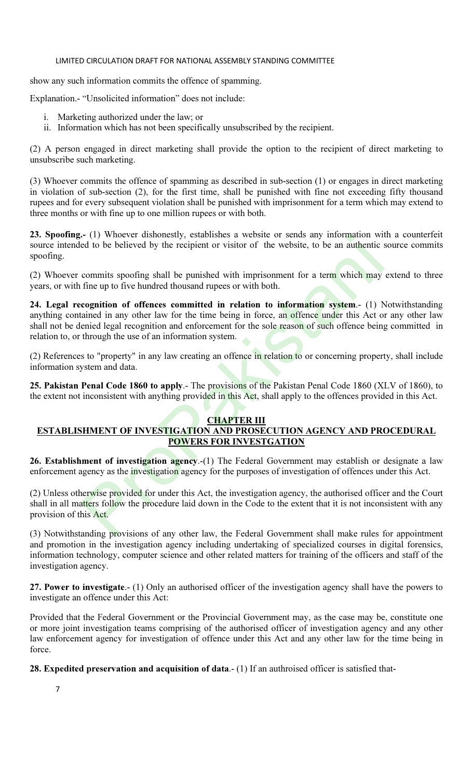show any such information commits the offence of spamming.

Explanation.- "Unsolicited information" does not include:

- i. Marketing authorized under the law; or
- ii. Information which has not been specifically unsubscribed by the recipient.

(2) A person engaged in direct marketing shall provide the option to the recipient of direct marketing to unsubscribe such marketing.

(3) Whoever commits the offence of spamming as described in sub-section (1) or engages in direct marketing in violation of sub-section (2), for the first time, shall be punished with fine not exceeding fifty thousand rupees and for every subsequent violation shall be punished with imprisonment for a term which may extend to three months or with fine up to one million rupees or with both.

23. Spoofing.- (1) Whoever dishonestly, establishes a website or sends any information with a counterfeit source intended to be believed by the recipient or visitor of the website, to be an authentic source commits spoofing.

(2) Whoever commits spoofing shall be punished with imprisonment for a term which may extend to three years, or with fine up to five hundred thousand rupees or with both.

24. Legal recognition of offences committed in relation to information system.- (1) Notwithstanding anything contained in any other law for the time being in force, an offence under this Act or any other law shall not be denied legal recognition and enforcement for the sole reason of such offence being committed in relation to, or through the use of an information system. - (1) whoever distonessly, establishes a website or sends any information with<br>ted to be believed by the recipient or visitor of the website, to be an authentic and to be believed by the recipient or visitor of the website

(2) References to "property" in any law creating an offence in relation to or concerning property, shall include information system and data.

25. Pakistan Penal Code 1860 to apply.- The provisions of the Pakistan Penal Code 1860 (XLV of 1860), to the extent not inconsistent with anything provided in this Act, shall apply to the offences provided in this Act.

# **CHAPTER III**

# ESTABLISHMENT OF INVESTIGATION AND PROSECUTION AGENCY AND PROCEDURAL POWERS FOR INVESTGATION

26. Establishment of investigation agency.-(1) The Federal Government may establish or designate a law enforcement agency as the investigation agency for the purposes of investigation of offences under this Act.

(2) Unless otherwise provided for under this Act, the investigation agency, the authorised officer and the Court shall in all matters follow the procedure laid down in the Code to the extent that it is not inconsistent with any provision of this Act.

(3) Notwithstanding provisions of any other law, the Federal Government shall make rules for appointment and promotion in the investigation agency including undertaking of specialized courses in digital forensics, information technology, computer science and other related matters for training of the officers and staff of the investigation agency.

27. Power to investigate.- (1) Only an authorised officer of the investigation agency shall have the powers to investigate an offence under this Act:

Provided that the Federal Government or the Provincial Government may, as the case may be, constitute one or more joint investigation teams comprising of the authorised officer of investigation agency and any other law enforcement agency for investigation of offence under this Act and any other law for the time being in force.

28. Expedited preservation and acquisition of data.- (1) If an authroised officer is satisfied that-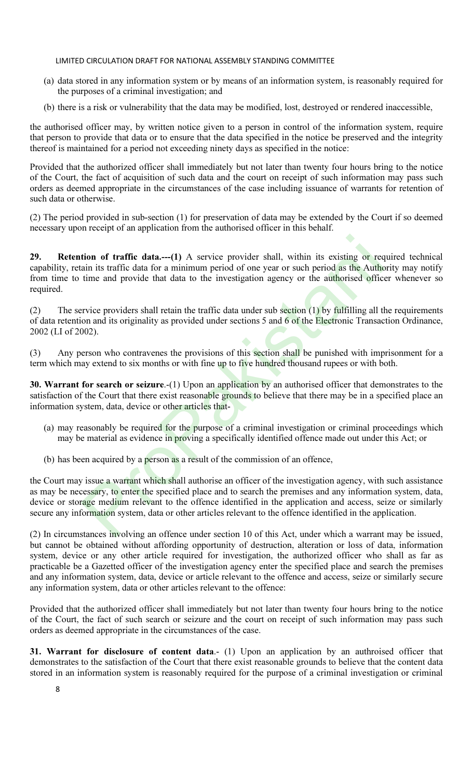- (a) data stored in any information system or by means of an information system, is reasonably required for the purposes of a criminal investigation; and
- (b) there is a risk or vulnerability that the data may be modified, lost, destroyed or rendered inaccessible,

the authorised officer may, by written notice given to a person in control of the information system, require that person to provide that data or to ensure that the data specified in the notice be preserved and the integrity thereof is maintained for a period not exceeding ninety days as specified in the notice:

Provided that the authorized officer shall immediately but not later than twenty four hours bring to the notice of the Court, the fact of acquisition of such data and the court on receipt of such information may pass such orders as deemed appropriate in the circumstances of the case including issuance of warrants for retention of such data or otherwise.

(2) The period provided in sub-section (1) for preservation of data may be extended by the Court if so deemed necessary upon receipt of an application from the authorised officer in this behalf.

29. Retention of traffic data.---(1) A service provider shall, within its existing or required technical capability, retain its traffic data for a minimum period of one year or such period as the Authority may notify from time to time and provide that data to the investigation agency or the authorised officer whenever so required.

(2) The service providers shall retain the traffic data under sub section  $(1)$  by fulfilling all the requirements of data retention and its originality as provided under sections 5 and 6 of the Electronic Transaction Ordinance, 2002 (LI of 2002).

(3) Any person who contravenes the provisions of this section shall be punished with imprisonment for a term which may extend to six months or with fine up to five hundred thousand rupees or with both.

30. Warrant for search or seizure.-(1) Upon an application by an authorised officer that demonstrates to the satisfaction of the Court that there exist reasonable grounds to believe that there may be in a specified place an information system, data, device or other articles that-

- (a) may reasonably be required for the purpose of a criminal investigation or criminal proceedings which may be material as evidence in proving a specifically identified offence made out under this Act; or
- (b) has been acquired by a person as a result of the commission of an offence,

the Court may issue a warrant which shall authorise an officer of the investigation agency, with such assistance as may be necessary, to enter the specified place and to search the premises and any information system, data, device or storage medium relevant to the offence identified in the application and access, seize or similarly secure any information system, data or other articles relevant to the offence identified in the application. **tion of traffic data....**(1) A service provider shall, within its existing or requin its traffic data for a minimum period of one year or such period as the Autherime and provide that data to the investigation agency or

(2) In circumstances involving an offence under section 10 of this Act, under which a warrant may be issued, but cannot be obtained without affording opportunity of destruction, alteration or loss of data, information system, device or any other article required for investigation, the authorized officer who shall as far as practicable be a Gazetted officer of the investigation agency enter the specified place and search the premises and any information system, data, device or article relevant to the offence and access, seize or similarly secure any information system, data or other articles relevant to the offence:

Provided that the authorized officer shall immediately but not later than twenty four hours bring to the notice of the Court, the fact of such search or seizure and the court on receipt of such information may pass such orders as deemed appropriate in the circumstances of the case.

31. Warrant for disclosure of content data.- (1) Upon an application by an authroised officer that demonstrates to the satisfaction of the Court that there exist reasonable grounds to believe that the content data stored in an information system is reasonably required for the purpose of a criminal investigation or criminal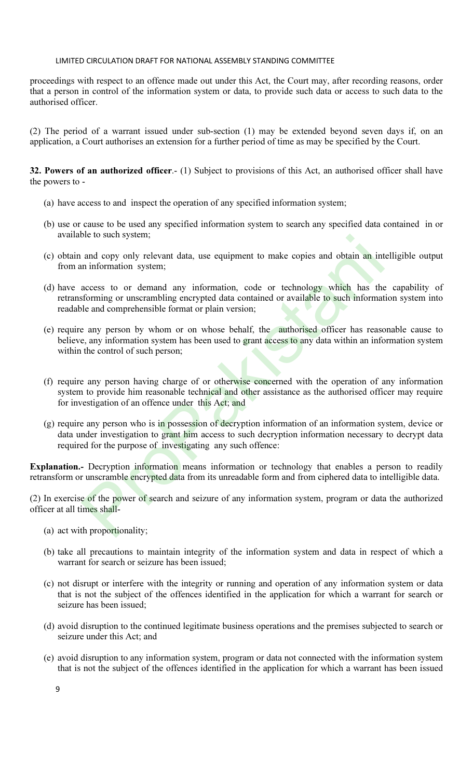proceedings with respect to an offence made out under this Act, the Court may, after recording reasons, order that a person in control of the information system or data, to provide such data or access to such data to the authorised officer.

(2) The period of a warrant issued under sub-section (1) may be extended beyond seven days if, on an application, a Court authorises an extension for a further period of time as may be specified by the Court.

32. Powers of an authorized officer.- (1) Subject to provisions of this Act, an authorised officer shall have the powers to -

- (a) have access to and inspect the operation of any specified information system;
- (b) use or cause to be used any specified information system to search any specified data contained in or available to such system;
- (c) obtain and copy only relevant data, use equipment to make copies and obtain an intelligible output from an information system;
- (d) have access to or demand any information, code or technology which has the capability of retransforming or unscrambling encrypted data contained or available to such information system into readable and comprehensible format or plain version; and copy only relevant data, use equipment to make copies and obtain an intiormation system;<br>and copy only relevant data, use equipment to make copies and obtain an intiormation system;<br>access to or demand any information,
- (e) require any person by whom or on whose behalf, the authorised officer has reasonable cause to believe, any information system has been used to grant access to any data within an information system within the control of such person;
- (f) require any person having charge of or otherwise concerned with the operation of any information system to provide him reasonable technical and other assistance as the authorised officer may require for investigation of an offence under this Act; and
- (g) require any person who is in possession of decryption information of an information system, device or data under investigation to grant him access to such decryption information necessary to decrypt data required for the purpose of investigating any such offence:

Explanation.- Decryption information means information or technology that enables a person to readily retransform or unscramble encrypted data from its unreadable form and from ciphered data to intelligible data.

(2) In exercise of the power of search and seizure of any information system, program or data the authorized officer at all times shall-

- (a) act with proportionality;
- (b) take all precautions to maintain integrity of the information system and data in respect of which a warrant for search or seizure has been issued;
- (c) not disrupt or interfere with the integrity or running and operation of any information system or data that is not the subject of the offences identified in the application for which a warrant for search or seizure has been issued;
- (d) avoid disruption to the continued legitimate business operations and the premises subjected to search or seizure under this Act; and
- (e) avoid disruption to any information system, program or data not connected with the information system that is not the subject of the offences identified in the application for which a warrant has been issued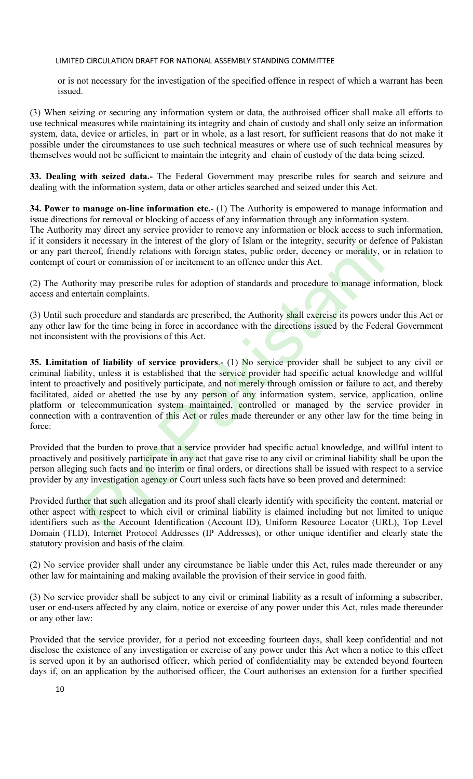or is not necessary for the investigation of the specified offence in respect of which a warrant has been issued.

(3) When seizing or securing any information system or data, the authroised officer shall make all efforts to use technical measures while maintaining its integrity and chain of custody and shall only seize an information system, data, device or articles, in part or in whole, as a last resort, for sufficient reasons that do not make it possible under the circumstances to use such technical measures or where use of such technical measures by themselves would not be sufficient to maintain the integrity and chain of custody of the data being seized.

33. Dealing with seized data.- The Federal Government may prescribe rules for search and seizure and dealing with the information system, data or other articles searched and seized under this Act.

34. Power to manage on-line information etc.- (1) The Authority is empowered to manage information and issue directions for removal or blocking of access of any information through any information system.

The Authority may direct any service provider to remove any information or block access to such information, if it considers it necessary in the interest of the glory of Islam or the integrity, security or defence of Pakistan or any part thereof, friendly relations with foreign states, public order, decency or morality, or in relation to contempt of court or commission of or incitement to an offence under this Act.

(2) The Authority may prescribe rules for adoption of standards and procedure to manage information, block access and entertain complaints.

(3) Until such procedure and standards are prescribed, the Authority shall exercise its powers under this Act or any other law for the time being in force in accordance with the directions issued by the Federal Government not inconsistent with the provisions of this Act.

35. Limitation of liability of service providers.- (1) No service provider shall be subject to any civil or criminal liability, unless it is established that the service provider had specific actual knowledge and willful intent to proactively and positively participate, and not merely through omission or failure to act, and thereby facilitated, aided or abetted the use by any person of any information system, service, application, online platform or telecommunication system maintained, controlled or managed by the service provider in connection with a contravention of this Act or rules made thereunder or any other law for the time being in force: it necessary in the interest of the glory of Islam or the integrity, security or defectors, friendly relations with foreign states, public order, decenvor or or normission of or incitement to an offence under this Act.<br>
pr

Provided that the burden to prove that a service provider had specific actual knowledge, and willful intent to proactively and positively participate in any act that gave rise to any civil or criminal liability shall be upon the person alleging such facts and no interim or final orders, or directions shall be issued with respect to a service provider by any investigation agency or Court unless such facts have so been proved and determined:

Provided further that such allegation and its proof shall clearly identify with specificity the content, material or other aspect with respect to which civil or criminal liability is claimed including but not limited to unique identifiers such as the Account Identification (Account ID), Uniform Resource Locator (URL), Top Level Domain (TLD), Internet Protocol Addresses (IP Addresses), or other unique identifier and clearly state the statutory provision and basis of the claim.

(2) No service provider shall under any circumstance be liable under this Act, rules made thereunder or any other law for maintaining and making available the provision of their service in good faith.

(3) No service provider shall be subject to any civil or criminal liability as a result of informing a subscriber, user or end-users affected by any claim, notice or exercise of any power under this Act, rules made thereunder or any other law:

Provided that the service provider, for a period not exceeding fourteen days, shall keep confidential and not disclose the existence of any investigation or exercise of any power under this Act when a notice to this effect is served upon it by an authorised officer, which period of confidentiality may be extended beyond fourteen days if, on an application by the authorised officer, the Court authorises an extension for a further specified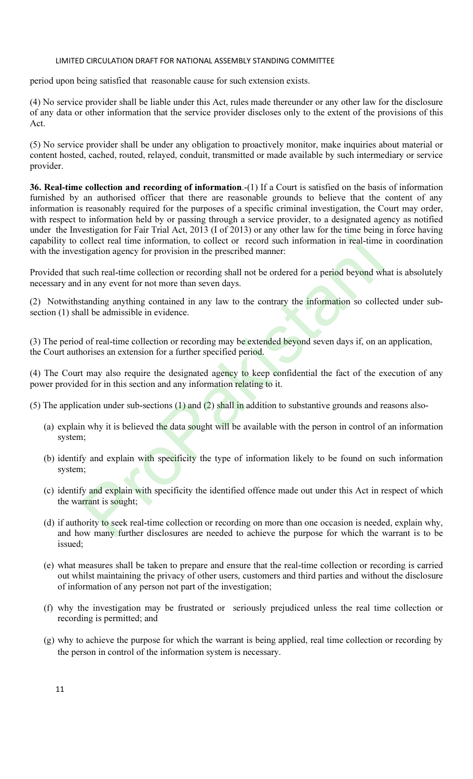period upon being satisfied that reasonable cause for such extension exists.

(4) No service provider shall be liable under this Act, rules made thereunder or any other law for the disclosure of any data or other information that the service provider discloses only to the extent of the provisions of this Act.

(5) No service provider shall be under any obligation to proactively monitor, make inquiries about material or content hosted, cached, routed, relayed, conduit, transmitted or made available by such intermediary or service provider.

36. Real-time collection and recording of information.-(1) If a Court is satisfied on the basis of information furnished by an authorised officer that there are reasonable grounds to believe that the content of any information is reasonably required for the purposes of a specific criminal investigation, the Court may order, with respect to information held by or passing through a service provider, to a designated agency as notified under the Investigation for Fair Trial Act, 2013 (I of 2013) or any other law for the time being in force having capability to collect real time information, to collect or record such information in real-time in coordination with the investigation agency for provision in the prescribed manner:

Provided that such real-time collection or recording shall not be ordered for a period beyond what is absolutely necessary and in any event for not more than seven days.

(2) Notwithstanding anything contained in any law to the contrary the information so collected under subsection (1) shall be admissible in evidence.

(3) The period of real-time collection or recording may be extended beyond seven days if, on an application, the Court authorises an extension for a further specified period.

(4) The Court may also require the designated agency to keep confidential the fact of the execution of any power provided for in this section and any information relating to it.

(5) The application under sub-sections (1) and (2) shall in addition to substantive grounds and reasons also-

- (a) explain why it is believed the data sought will be available with the person in control of an information system;
- (b) identify and explain with specificity the type of information likely to be found on such information system; collect real time information, to collect or record such information in real-time<br>tigation agency for provision in the prescribed manner:<br>such real-time collection or recording shall not be ordered for a period beyond wh<br>i
- (c) identify and explain with specificity the identified offence made out under this Act in respect of which the warrant is sought;
- (d) if authority to seek real-time collection or recording on more than one occasion is needed, explain why, and how many further disclosures are needed to achieve the purpose for which the warrant is to be issued;
- (e) what measures shall be taken to prepare and ensure that the real-time collection or recording is carried out whilst maintaining the privacy of other users, customers and third parties and without the disclosure of information of any person not part of the investigation;
- (f) why the investigation may be frustrated or seriously prejudiced unless the real time collection or recording is permitted; and
- (g) why to achieve the purpose for which the warrant is being applied, real time collection or recording by the person in control of the information system is necessary.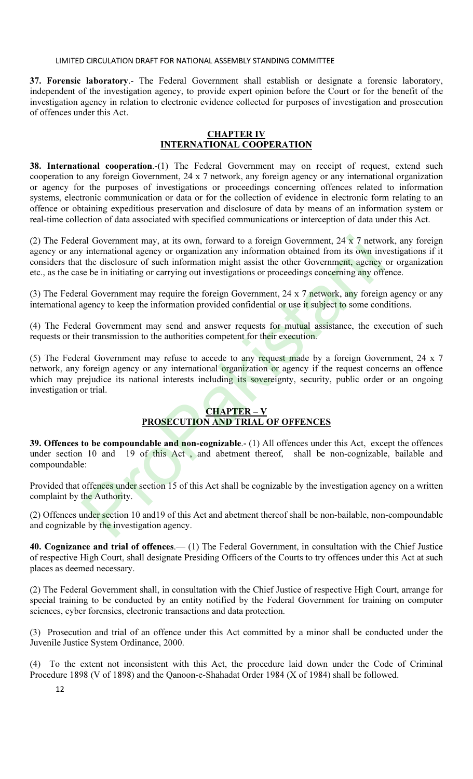37. Forensic laboratory.- The Federal Government shall establish or designate a forensic laboratory, independent of the investigation agency, to provide expert opinion before the Court or for the benefit of the investigation agency in relation to electronic evidence collected for purposes of investigation and prosecution of offences under this Act.

# <u>CHAPTER IV</u> INTERNATIONAL COOPERATION

38. International cooperation.-(1) The Federal Government may on receipt of request, extend such cooperation to any foreign Government, 24 x 7 network, any foreign agency or any international organization or agency for the purposes of investigations or proceedings concerning offences related to information systems, electronic communication or data or for the collection of evidence in electronic form relating to an offence or obtaining expeditious preservation and disclosure of data by means of an information system or real-time collection of data associated with specified communications or interception of data under this Act.

(2) The Federal Government may, at its own, forward to a foreign Government,  $24 \times 7$  network, any foreign agency or any international agency or organization any information obtained from its own investigations if it considers that the disclosure of such information might assist the other Government, agency or organization etc., as the case be in initiating or carrying out investigations or proceedings concerning any offence. al Government may, at its own, forward to a foreign Government, 24 x 7 networe international agency or organization any information behind from its own in the disclosure of such information might assist the other Governme

(3) The Federal Government may require the foreign Government, 24 x 7 network, any foreign agency or any international agency to keep the information provided confidential or use it subject to some conditions.

(4) The Federal Government may send and answer requests for mutual assistance, the execution of such requests or their transmission to the authorities competent for their execution.

(5) The Federal Government may refuse to accede to any request made by a foreign Government, 24 x 7 network, any foreign agency or any international organization or agency if the request concerns an offence which may prejudice its national interests including its sovereignty, security, public order or an ongoing investigation or trial.

# CHAPTER – V

# PROSECUTION AND TRIAL OF OFFENCES

39. Offences to be compoundable and non-cognizable.- (1) All offences under this Act, except the offences under section 10 and 19 of this Act , and abetment thereof, shall be non-cognizable, bailable and compoundable:

Provided that offences under section 15 of this Act shall be cognizable by the investigation agency on a written complaint by the Authority.

(2) Offences under section 10 and19 of this Act and abetment thereof shall be non-bailable, non-compoundable and cognizable by the investigation agency.

40. Cognizance and trial of offences.— (1) The Federal Government, in consultation with the Chief Justice of respective High Court, shall designate Presiding Officers of the Courts to try offences under this Act at such places as deemed necessary.

(2) The Federal Government shall, in consultation with the Chief Justice of respective High Court, arrange for special training to be conducted by an entity notified by the Federal Government for training on computer sciences, cyber forensics, electronic transactions and data protection.

(3) Prosecution and trial of an offence under this Act committed by a minor shall be conducted under the Juvenile Justice System Ordinance, 2000.

(4) To the extent not inconsistent with this Act, the procedure laid down under the Code of Criminal Procedure 1898 (V of 1898) and the Qanoon-e-Shahadat Order 1984 (X of 1984) shall be followed.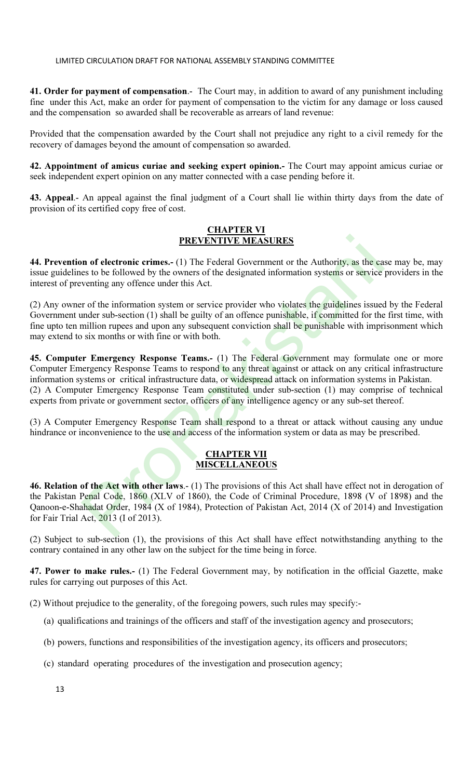41. Order for payment of compensation.- The Court may, in addition to award of any punishment including fine under this Act, make an order for payment of compensation to the victim for any damage or loss caused and the compensation so awarded shall be recoverable as arrears of land revenue:

Provided that the compensation awarded by the Court shall not prejudice any right to a civil remedy for the recovery of damages beyond the amount of compensation so awarded.

42. Appointment of amicus curiae and seeking expert opinion.- The Court may appoint amicus curiae or seek independent expert opinion on any matter connected with a case pending before it.

43. Appeal.- An appeal against the final judgment of a Court shall lie within thirty days from the date of provision of its certified copy free of cost.

# CHAPTER VI PREVENTIVE MEASURES

44. Prevention of electronic crimes.- (1) The Federal Government or the Authority, as the case may be, may issue guidelines to be followed by the owners of the designated information systems or service providers in the interest of preventing any offence under this Act.

(2) Any owner of the information system or service provider who violates the guidelines issued by the Federal Government under sub-section (1) shall be guilty of an offence punishable, if committed for the first time, with fine upto ten million rupees and upon any subsequent conviction shall be punishable with imprisonment which may extend to six months or with fine or with both.

45. Computer Emergency Response Teams.- (1) The Federal Government may formulate one or more Computer Emergency Response Teams to respond to any threat against or attack on any critical infrastructure information systems or critical infrastructure data, or widespread attack on information systems in Pakistan. (2) A Computer Emergency Response Team constituted under sub-section (1) may comprise of technical experts from private or government sector, officers of any intelligence agency or any sub-set thereof. **PREVENTIVE MEASURES**<br> **PREVENTIVE MEASURES**<br> **PREVENTIVE MEASURES**<br> **PREVENTIVE MEASURES**<br> **PREVENTIVE TO THE FECTAL GOVERNMENT OF THE CONSULTER CONSULTER THE CONSULTER TO THE CONSULTER THE OF THE OF THE OF THE OF THE THE** 

(3) A Computer Emergency Response Team shall respond to a threat or attack without causing any undue hindrance or inconvenience to the use and access of the information system or data as may be prescribed.

# CHAPTER VII MISCELLANEOUS

46. Relation of the Act with other laws.- (1) The provisions of this Act shall have effect not in derogation of the Pakistan Penal Code, 1860 (XLV of 1860), the Code of Criminal Procedure, 1898 (V of 1898) and the Qanoon-e-Shahadat Order, 1984 (X of 1984), Protection of Pakistan Act, 2014 (X of 2014) and Investigation for Fair Trial Act, 2013 (I of 2013).

(2) Subject to sub-section (1), the provisions of this Act shall have effect notwithstanding anything to the contrary contained in any other law on the subject for the time being in force.

47. Power to make rules.- (1) The Federal Government may, by notification in the official Gazette, make rules for carrying out purposes of this Act.

(2) Without prejudice to the generality, of the foregoing powers, such rules may specify:-

- (a) qualifications and trainings of the officers and staff of the investigation agency and prosecutors;
- (b) powers, functions and responsibilities of the investigation agency, its officers and prosecutors;
- (c) standard operating procedures of the investigation and prosecution agency;